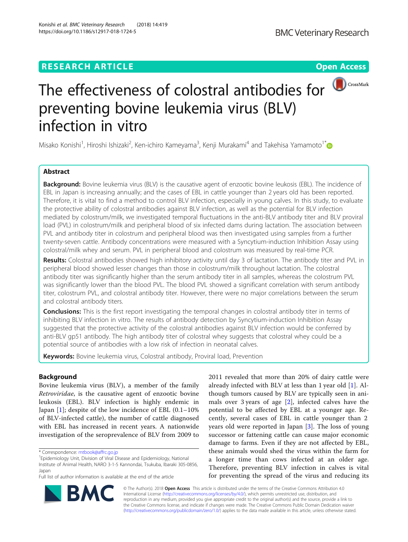https://doi.org/10.1186/s12917-018-1724-5

Konishi et al. BMC Veterinary Research (2018) 14:419



# The effectiveness of colostral antibodies for **O**CrossMark preventing bovine leukemia virus (BLV) infection in vitro

Misako Konishi<sup>1</sup>, Hiroshi Ishizaki<sup>2</sup>, Ken-ichiro Kameyama<sup>3</sup>, Kenji Murakami<sup>4</sup> and Takehisa Yamamoto<sup>1\*</sup>

# Abstract

Background: Bovine leukemia virus (BLV) is the causative agent of enzootic bovine leukosis (EBL). The incidence of EBL in Japan is increasing annually; and the cases of EBL in cattle younger than 2 years old has been reported. Therefore, it is vital to find a method to control BLV infection, especially in young calves. In this study, to evaluate the protective ability of colostral antibodies against BLV infection, as well as the potential for BLV infection mediated by colostrum/milk, we investigated temporal fluctuations in the anti-BLV antibody titer and BLV proviral load (PVL) in colostrum/milk and peripheral blood of six infected dams during lactation. The association between PVL and antibody titer in colostrum and peripheral blood was then investigated using samples from a further twenty-seven cattle. Antibody concentrations were measured with a Syncytium-induction Inhibition Assay using colostral/milk whey and serum. PVL in peripheral blood and colostrum was measured by real-time PCR.

Results: Colostral antibodies showed high inhibitory activity until day 3 of lactation. The antibody titer and PVL in peripheral blood showed lesser changes than those in colostrum/milk throughout lactation. The colostral antibody titer was significantly higher than the serum antibody titer in all samples, whereas the colostrum PVL was significantly lower than the blood PVL. The blood PVL showed a significant correlation with serum antibody titer, colostrum PVL, and colostral antibody titer. However, there were no major correlations between the serum and colostral antibody titers.

**Conclusions:** This is the first report investigating the temporal changes in colostral antibody titer in terms of inhibiting BLV infection in vitro. The results of antibody detection by Syncytium-induction Inhibition Assay suggested that the protective activity of the colostral antibodies against BLV infection would be conferred by anti-BLV gp51 antibody. The high antibody titer of colostral whey suggests that colostral whey could be a potential source of antibodies with a low risk of infection in neonatal calves.

Keywords: Bovine leukemia virus, Colostral antibody, Proviral load, Prevention

# Background

Bovine leukemia virus (BLV), a member of the family Retroviridae, is the causative agent of enzootic bovine leukosis (EBL). BLV infection is highly endemic in Japan  $[1]$  $[1]$ ; despite of the low incidence of EBL  $(0.1-10\%)$ of BLV-infected cattle), the number of cattle diagnosed with EBL has increased in recent years. A nationwide investigation of the seroprevalence of BLV from 2009 to

2011 revealed that more than 20% of dairy cattle were already infected with BLV at less than 1 year old [[1\]](#page-7-0). Although tumors caused by BLV are typically seen in animals over 3 years of age [\[2](#page-7-0)], infected calves have the potential to be affected by EBL at a younger age. Recently, several cases of EBL in cattle younger than 2 years old were reported in Japan [[3\]](#page-7-0). The loss of young successor or fattening cattle can cause major economic damage to farms. Even if they are not affected by EBL, these animals would shed the virus within the farm for a longer time than cows infected at an older age. Therefore, preventing BLV infection in calves is vital for preventing the spread of the virus and reducing its



© The Author(s). 2018 Open Access This article is distributed under the terms of the Creative Commons Attribution 4.0 International License [\(http://creativecommons.org/licenses/by/4.0/](http://creativecommons.org/licenses/by/4.0/)), which permits unrestricted use, distribution, and reproduction in any medium, provided you give appropriate credit to the original author(s) and the source, provide a link to the Creative Commons license, and indicate if changes were made. The Creative Commons Public Domain Dedication waiver [\(http://creativecommons.org/publicdomain/zero/1.0/](http://creativecommons.org/publicdomain/zero/1.0/)) applies to the data made available in this article, unless otherwise stated.

<sup>\*</sup> Correspondence: [mtbook@affrc.go.jp](mailto:mtbook@affrc.go.jp) <sup>1</sup>

<sup>&</sup>lt;sup>1</sup> Epidemiology Unit, Division of Viral Disease and Epidemiology, National Institute of Animal Health, NARO 3-1-5 Kannondai, Tsukuba, Ibaraki 305-0856, Japan

Full list of author information is available at the end of the article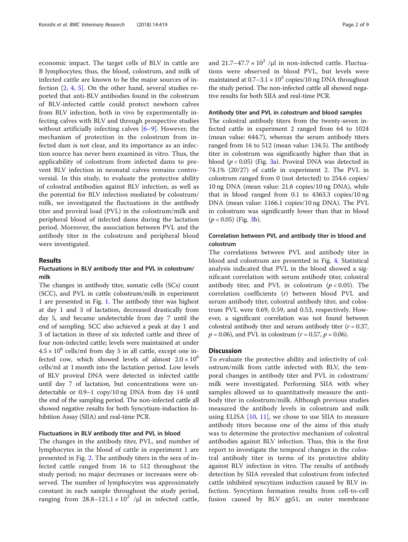economic impact. The target cells of BLV in cattle are B lymphocytes; thus, the blood, colostrum, and milk of infected cattle are known to be the major sources of infection [\[2](#page-7-0), [4](#page-7-0), [5](#page-7-0)]. On the other hand, several studies reported that anti-BLV antibodies found in the colostrum of BLV-infected cattle could protect newborn calves from BLV infection, both in vivo by experimentally infecting calves with BLV and through prospective studies without artificially infecting calves [[6](#page-7-0)–[9\]](#page-7-0). However, the mechanism of protection in the colostrum from infected dam is not clear, and its importance as an infection source has never been examined in vitro. Thus, the applicability of colostrum from infected dams to prevent BLV infection in neonatal calves remains controversial. In this study, to evaluate the protective ability of colostral antibodies against BLV infection, as well as the potential for BLV infection mediated by colostrum/ milk, we investigated the fluctuations in the antibody titer and proviral load (PVL) in the colostrum/milk and peripheral blood of infected dams during the lactation period. Moreover, the association between PVL and the antibody titer in the colostrum and peripheral blood were investigated.

# Results

# Fluctuations in BLV antibody titer and PVL in colostrum/ milk

The changes in antibody titer, somatic cells (SCs) count (SCC), and PVL in cattle colostrum/milk in experiment 1 are presented in Fig. [1](#page-2-0). The antibody titer was highest at day 1 and 3 of lactation, decreased drastically from day 5, and became undetectable from day 7 until the end of sampling. SCC also achieved a peak at day 1 and 3 of lactation in three of six infected cattle and three of four non-infected cattle; levels were maintained at under  $4.5 \times 10^6$  cells/ml from day 5 in all cattle, except one infected cow, which showed levels of almost  $2.0 \times 10^6$ cells/ml at 1 month into the lactation period. Low levels of BLV proviral DNA were detected in infected cattle until day 7 of lactation, but concentrations were undetectable or 0.9–1 copy/10 ng DNA from day 14 until the end of the sampling period. The non-infected cattle all showed negative results for both Syncytium-induction Inhibition Assay (SIIA) and real-time PCR.

# Fluctuations in BLV antibody titer and PVL in blood

The changes in the antibody titer, PVL, and number of lymphocytes in the blood of cattle in experiment 1 are presented in Fig. [2.](#page-3-0) The antibody titers in the sera of infected cattle ranged from 16 to 512 throughout the study period; no major decreases or increases were observed. The number of lymphocytes was approximately constant in each sample throughout the study period, ranging from  $28.8-121.1 \times 10^2$  /µl in infected cattle,

and  $21.7-47.7 \times 10^2$  /µl in non-infected cattle. Fluctuations were observed in blood PVL, but levels were maintained at  $0.7-3.1 \times 10^3$  copies/10 ng DNA throughout the study period. The non-infected cattle all showed negative results for both SIIA and real-time PCR.

# Antibody titer and PVL in colostrum and blood samples

The colostral antibody titers from the twenty-seven infected cattle in experiment 2 ranged from 64 to 1024 (mean value: 644.7), whereas the serum antibody titers ranged from 16 to 512 (mean value: 134.5). The antibody titer in colostrum was significantly higher than that in blood  $(p < 0.05)$  (Fig. [3](#page-4-0)a). Proviral DNA was detected in 74.1% (20/27) of cattle in experiment 2. The PVL in colostrum ranged from 0 (not detected) to 254.6 copies/ 10 ng DNA (mean value: 21.6 copies/10 ng DNA), while that in blood ranged from 0.1 to 4363.3 copies/10 ng DNA (mean value: 1166.1 copies/10 ng DNA). The PVL in colostrum was significantly lower than that in blood  $(p < 0.05)$  (Fig. [3b](#page-4-0)).

# Correlation between PVL and antibody titer in blood and colostrum

The correlations between PVL and antibody titer in blood and colostrum are presented in Fig. [4.](#page-4-0) Statistical analysis indicated that PVL in the blood showed a significant correlation with serum antibody titer, colostral antibody titer, and PVL in colostrum ( $p < 0.05$ ). The correlation coefficients (r) between blood PVL and serum antibody titer, colostral antibody titer, and colostrum PVL were 0.69, 0.59, and 0.53, respectively. However, a significant correlation was not found between colostral antibody titer and serum antibody titer  $(r = 0.37)$ ,  $p = 0.06$ , and PVL in colostrum ( $r = 0.57$ ,  $p = 0.06$ ).

# **Discussion**

To evaluate the protective ability and infectivity of colostrum/milk from cattle infected with BLV, the temporal changes in antibody titer and PVL in colostrum/ milk were investigated. Performing SIIA with whey samples allowed us to quantitatively measure the antibody titer in colostrum/milk. Although previous studies measured the antibody levels in colostrum and milk using ELISA [[10,](#page-7-0) [11\]](#page-8-0), we chose to use SIIA to measure antibody titers because one of the aims of this study was to determine the protective mechanism of colostral antibodies against BLV infection. Thus, this is the first report to investigate the temporal changes in the colostral antibody titer in terms of its protective ability against BLV infection in vitro. The results of antibody detection by SIIA revealed that colostrum from infected cattle inhibited syncytium induction caused by BLV infection. Syncytium formation results from cell-to-cell fusion caused by BLV gp51, an outer membrane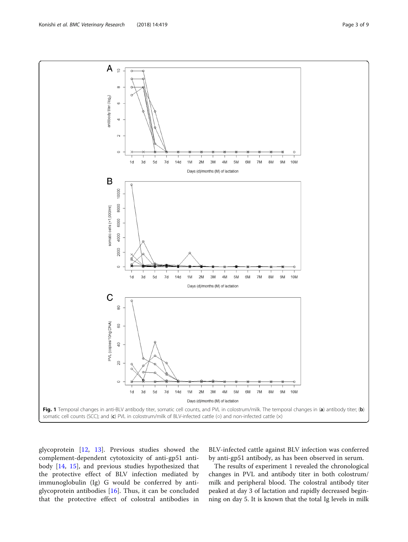<span id="page-2-0"></span>

glycoprotein [[12,](#page-8-0) [13](#page-8-0)]. Previous studies showed the complement-dependent cytotoxicity of anti-gp51 antibody [[14,](#page-8-0) [15\]](#page-8-0), and previous studies hypothesized that the protective effect of BLV infection mediated by immunoglobulin (Ig) G would be conferred by antiglycoprotein antibodies  $[16]$  $[16]$ . Thus, it can be concluded that the protective effect of colostral antibodies in

BLV-infected cattle against BLV infection was conferred by anti-gp51 antibody, as has been observed in serum.

The results of experiment 1 revealed the chronological changes in PVL and antibody titer in both colostrum/ milk and peripheral blood. The colostral antibody titer peaked at day 3 of lactation and rapidly decreased beginning on day 5. It is known that the total Ig levels in milk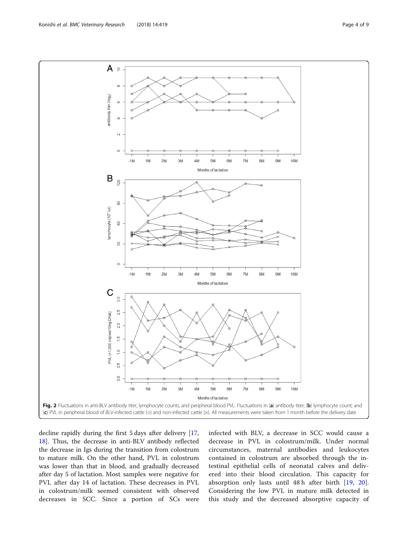<span id="page-3-0"></span>

decline rapidly during the first 5 days after delivery [[17](#page-8-0), [18\]](#page-8-0). Thus, the decrease in anti-BLV antibody reflected the decrease in Igs during the transition from colostrum to mature milk. On the other hand, PVL in colostrum was lower than that in blood, and gradually decreased after day 5 of lactation. Most samples were negative for PVL after day 14 of lactation. These decreases in PVL in colostrum/milk seemed consistent with observed decreases in SCC. Since a portion of SCs were infected with BLV, a decrease in SCC would cause a decrease in PVL in colostrum/milk. Under normal circumstances, maternal antibodies and leukocytes contained in colostrum are absorbed through the intestinal epithelial cells of neonatal calves and delivered into their blood circulation. This capacity for absorption only lasts until 48 h after birth [\[19](#page-8-0), [20](#page-8-0)]. Considering the low PVL in mature milk detected in this study and the decreased absorptive capacity of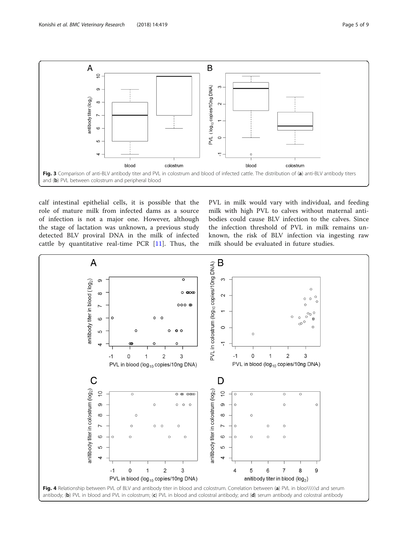<span id="page-4-0"></span>

calf intestinal epithelial cells, it is possible that the role of mature milk from infected dams as a source of infection is not a major one. However, although the stage of lactation was unknown, a previous study detected BLV proviral DNA in the milk of infected cattle by quantitative real-time PCR  $[11]$  $[11]$ . Thus, the PVL in milk would vary with individual, and feeding milk with high PVL to calves without maternal antibodies could cause BLV infection to the calves. Since the infection threshold of PVL in milk remains unknown, the risk of BLV infection via ingesting raw milk should be evaluated in future studies.

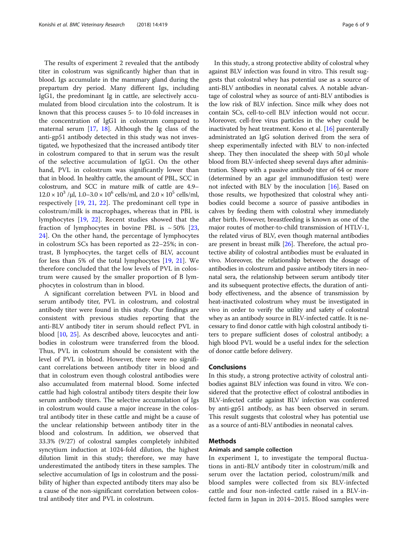The results of experiment 2 revealed that the antibody titer in colostrum was significantly higher than that in blood. Igs accumulate in the mammary gland during the prepartum dry period. Many different Igs, including IgG1, the predominant Ig in cattle, are selectively accumulated from blood circulation into the colostrum. It is known that this process causes 5- to 10-fold increases in the concentration of IgG1 in colostrum compared to maternal serum [[17,](#page-8-0) [18](#page-8-0)]. Although the Ig class of the anti-gp51 antibody detected in this study was not investigated, we hypothesized that the increased antibody titer in colostrum compared to that in serum was the result of the selective accumulation of IgG1. On the other hand, PVL in colostrum was significantly lower than that in blood. In healthy cattle, the amount of PBL, SCC in colostrum, and SCC in mature milk of cattle are 4.9–  $12.0 \times 10^3$  /µl,  $1.0 - 3.0 \times 10^6$  cells/ml, and  $2.0 \times 10^5$  cells/ml, respectively [[19,](#page-8-0) [21,](#page-8-0) [22](#page-8-0)]. The predominant cell type in colostrum/milk is macrophages, whereas that in PBL is lymphocytes [[19,](#page-8-0) [22](#page-8-0)]. Recent studies showed that the fraction of lymphocytes in bovine PBL is  $\sim$  50% [\[23](#page-8-0), [24\]](#page-8-0). On the other hand, the percentage of lymphocytes in colostrum SCs has been reported as 22–25%; in contrast, B lymphocytes, the target cells of BLV, account for less than 5% of the total lymphocytes [[19,](#page-8-0) [21\]](#page-8-0). We therefore concluded that the low levels of PVL in colostrum were caused by the smaller proportion of B lymphocytes in colostrum than in blood.

A significant correlation between PVL in blood and serum antibody titer, PVL in colostrum, and colostral antibody titer were found in this study. Our findings are consistent with previous studies reporting that the anti-BLV antibody titer in serum should reflect PVL in blood [[10](#page-7-0), [25](#page-8-0)]. As described above, leucocytes and antibodies in colostrum were transferred from the blood. Thus, PVL in colostrum should be consistent with the level of PVL in blood. However, there were no significant correlations between antibody titer in blood and that in colostrum even though colostral antibodies were also accumulated from maternal blood. Some infected cattle had high colostral antibody titers despite their low serum antibody titers. The selective accumulation of Igs in colostrum would cause a major increase in the colostral antibody titer in these cattle and might be a cause of the unclear relationship between antibody titer in the blood and colostrum. In addition, we observed that 33.3% (9/27) of colostral samples completely inhibited syncytium induction at 1024-fold dilution, the highest dilution limit in this study; therefore, we may have underestimated the antibody titers in these samples. The selective accumulation of Igs in colostrum and the possibility of higher than expected antibody titers may also be a cause of the non-significant correlation between colostral antibody titer and PVL in colostrum.

In this study, a strong protective ability of colostral whey against BLV infection was found in vitro. This result suggests that colostral whey has potential use as a source of anti-BLV antibodies in neonatal calves. A notable advantage of colostral whey as source of anti-BLV antibodies is the low risk of BLV infection. Since milk whey does not contain SCs, cell-to-cell BLV infection would not occur. Moreover, cell-free virus particles in the whey could be inactivated by heat treatment. Kono et al. [[16](#page-8-0)] parenterally administrated an IgG solution derived from the sera of sheep experimentally infected with BLV to non-infected sheep. They then inoculated the sheep with 50 μl whole blood from BLV-infected sheep several days after administration. Sheep with a passive antibody titer of 64 or more (determined by an agar gel immunodiffusion test) were not infected with BLV by the inoculation [\[16\]](#page-8-0). Based on those results, we hypothesized that colostral whey antibodies could become a source of passive antibodies in calves by feeding them with colostral whey immediately after birth. However, breastfeeding is known as one of the major routes of mother-to-child transmission of HTLV-1, the related virus of BLV, even though maternal antibodies are present in breast milk [[26](#page-8-0)]. Therefore, the actual protective ability of colostral antibodies must be evaluated in vivo. Moreover, the relationship between the dosage of antibodies in colostrum and passive antibody titers in neonatal sera, the relationship between serum antibody titer and its subsequent protective effects, the duration of antibody effectiveness, and the absence of transmission by heat-inactivated colostrum whey must be investigated in vivo in order to verify the utility and safety of colostral whey as an antibody source in BLV-infected cattle. It is necessary to find donor cattle with high colostral antibody titers to prepare sufficient doses of colostral antibody; a high blood PVL would be a useful index for the selection of donor cattle before delivery.

# Conclusions

In this study, a strong protective activity of colostral antibodies against BLV infection was found in vitro. We considered that the protective effect of colostral antibodies in BLV-infected cattle against BLV infection was conferred by anti-gp51 antibody, as has been observed in serum. This result suggests that colostral whey has potential use as a source of anti-BLV antibodies in neonatal calves.

# Methods

#### Animals and sample collection

In experiment 1, to investigate the temporal fluctuations in anti-BLV antibody titer in colostrum/milk and serum over the lactation period, colostrum/milk and blood samples were collected from six BLV-infected cattle and four non-infected cattle raised in a BLV-infected farm in Japan in 2014–2015. Blood samples were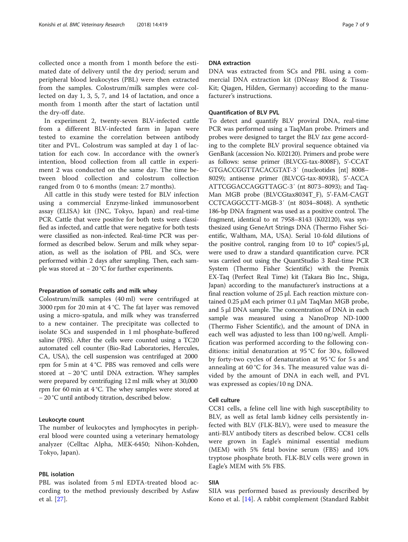collected once a month from 1 month before the estimated date of delivery until the dry period; serum and peripheral blood leukocytes (PBL) were then extracted from the samples. Colostrum/milk samples were collected on day 1, 3, 5, 7, and 14 of lactation, and once a month from 1 month after the start of lactation until the dry-off date.

In experiment 2, twenty-seven BLV-infected cattle from a different BLV-infected farm in Japan were tested to examine the correlation between antibody titer and PVL. Colostrum was sampled at day 1 of lactation for each cow. In accordance with the owner's intention, blood collection from all cattle in experiment 2 was conducted on the same day. The time between blood collection and colostrum collection ranged from 0 to 6 months (mean: 2.7 months).

All cattle in this study were tested for BLV infection using a commercial Enzyme-linked immunosorbent assay (ELISA) kit (JNC, Tokyo, Japan) and real-time PCR. Cattle that were positive for both tests were classified as infected, and cattle that were negative for both tests were classified as non-infected. Real-time PCR was performed as described below. Serum and milk whey separation, as well as the isolation of PBL and SCs, were performed within 2 days after sampling. Then, each sample was stored at − 20 °C for further experiments.

# Preparation of somatic cells and milk whey

Colostrum/milk samples (40 ml) were centrifuged at 3000 rpm for 20 min at 4 °C. The fat layer was removed using a micro-spatula, and milk whey was transferred to a new container. The precipitate was collected to isolate SCs and suspended in 1 ml phosphate-buffered saline (PBS). After the cells were counted using a TC20 automated cell counter (Bio-Rad Laboratories, Hercules, CA, USA), the cell suspension was centrifuged at 2000 rpm for 5 min at 4 °C. PBS was removed and cells were stored at − 20 °C until DNA extraction. Whey samples were prepared by centrifuging 12 ml milk whey at 30,000 rpm for 60 min at 4 °C. The whey samples were stored at − 20 °C until antibody titration, described below.

# Leukocyte count

The number of leukocytes and lymphocytes in peripheral blood were counted using a veterinary hematology analyzer (Celltac Alpha, MEK-6450; Nihon-Kohden, Tokyo, Japan).

#### PBL isolation

PBL was isolated from 5 ml EDTA-treated blood according to the method previously described by Asfaw et al. [[27\]](#page-8-0).

# DNA extraction

DNA was extracted from SCs and PBL using a commercial DNA extraction kit (DNeasy Blood & Tissue Kit; Qiagen, Hilden, Germany) according to the manufacturer's instructions.

# Quantification of BLV PVL

To detect and quantify BLV proviral DNA, real-time PCR was performed using a TaqMan probe. Primers and probes were designed to target the BLV tax gene according to the complete BLV proviral sequence obtained via GenBank (accession No. K02120). Primers and probe were as follows: sense primer (BLVCG-tax-8008F), 5'-CCAT GTGACCGGTTACACGTAT-3′ (nucleotides [nt] 8008– 8029); antisense primer (BLVCG-tax-8093R), 5'-ACCA ATTCGGACCAGGTTAGC-3′ (nt 8073–8093); and Taq-Man MGB probe (BLVCGtax8034T\_F), 5'-FAM-CAGT CCTCAGGCCTT-MGB-3′ (nt 8034–8048). A synthetic 186-bp DNA fragment was used as a positive control. The fragment, identical to nt 7958–8143 (K02120), was synthesized using GeneArt Strings DNA (Thermo Fisher Scientific, Waltham, MA, USA). Serial 10-fold dilutions of the positive control, ranging from 10 to  $10^6$  copies/5  $\mu$ l, were used to draw a standard quantification curve. PCR was carried out using the QuantStudio 3 Real-time PCR System (Thermo Fisher Scientific) with the Premix EX-Taq (Perfect Real Time) kit (Takara Bio Inc., Shiga, Japan) according to the manufacturer's instructions at a final reaction volume of 25 μl. Each reaction mixture contained 0.25 μM each primer 0.1 μM TaqMan MGB probe, and 5 μl DNA sample. The concentration of DNA in each sample was measured using a NanoDrop ND-1000 (Thermo Fisher Scientific), and the amount of DNA in each well was adjusted to less than 100 ng/well. Amplification was performed according to the following conditions: initial denaturation at 95 °C for 30 s, followed by forty-two cycles of denaturation at 95 °C for 5 s and annealing at 60 °C for 34 s. The measured value was divided by the amount of DNA in each well, and PVL was expressed as copies/10 ng DNA.

# Cell culture

CC81 cells, a feline cell line with high susceptibility to BLV, as well as fetal lamb kidney cells persistently infected with BLV (FLK-BLV), were used to measure the anti-BLV antibody titers as described below. CC81 cells were grown in Eagle's minimal essential medium (MEM) with 5% fetal bovine serum (FBS) and 10% tryptose phosphate broth. FLK-BLV cells were grown in Eagle's MEM with 5% FBS.

# SIIA

SIIA was performed based as previously described by Kono et al. [[14\]](#page-8-0). A rabbit complement (Standard Rabbit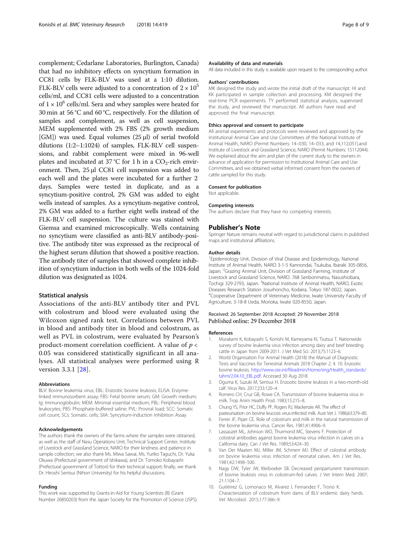<span id="page-7-0"></span>complement; Cedarlane Laboratories, Burlington, Canada) that had no inhibitory effects on syncytium formation in CC81 cells by FLK-BLV was used at a 1:10 dilution. FLK-BLV cells were adjusted to a concentration of  $2 \times 10^5$ cells/ml, and CC81 cells were adjusted to a concentration of  $1 \times 10^6$  cells/ml. Sera and whey samples were heated for 30 min at 56 °C and 60 °C, respectively. For the dilution of samples and complement, as well as cell suspension, MEM supplemented with 2% FBS (2% growth medium [GM]) was used. Equal volumes (25 μl) of serial twofold dilutions (1:2–1:1024) of samples, FLK-BLV cell suspensions, and rabbit complement were mixed in 96-well plates and incubated at 37 °C for 1 h in a  $CO_2$ -rich environment. Then, 25 μl CC81 cell suspension was added to each well and the plates were incubated for a further 2 days. Samples were tested in duplicate, and as a syncytium-positive control, 2% GM was added to eight wells instead of samples. As a syncytium-negative control, 2% GM was added to a further eight wells instead of the FLK-BLV cell suspension. The culture was stained with Giemsa and examined microscopically. Wells containing no syncytium were classified as anti-BLV antibody-positive. The antibody titer was expressed as the reciprocal of the highest serum dilution that showed a positive reaction. The antibody titer of samples that showed complete inhibition of syncytium induction in both wells of the 1024-fold dilution was designated as 1024.

#### Statistical analysis

Associations of the anti-BLV antibody titer and PVL with colostrum and blood were evaluated using the Wilcoxon signed rank test. Correlations between PVL in blood and antibody titer in blood and colostrum, as well as PVL in colostrum, were evaluated by Pearson's product-moment correlation coefficient. A value of  $p <$ 0.05 was considered statistically significant in all analyses. All statistical analyses were performed using R version 3.3.1 [[28](#page-8-0)].

#### Abbreviations

BLV: Bovine leukemia virus; EBL: Enzootic bovine leukosis; ELISA: Enzymelinked immunosorbent assay; FBS: Fetal bovine serum; GM: Growth medium; Ig: Immunoglobulin; MEM: Minimal essential medium; PBL: Peripheral blood leukocytes; PBS: Phosphate-buffered saline; PVL: Proviral load; SCC: Somatic cell count; SCs: Somatic cells; SIIA: Syncytium-induction Inhibition Assay

#### Acknowledgements

The authors thank the owners of the farms where the samples were obtained, as well as the staff of Nasu Operations Unit, Technical Support Center, Institute of Livestock and Grassland Science, NARO for their kindness and patience in sample collection; we also thank Ms. Miwa Sawai, Ms. Yuriko Taguchi, Dr. Yuka Okuwa (Prefectural government of Ishikawa), and Dr. Tomoko Kobayashi (Prefectural government of Tottori) for their technical support; finally, we thank Dr. Hiroshi Sentsui (Nihon University) for his helpful discussions.

#### Funding

This work was supported by Grants-in-Aid for Young Scientists (B) (Grant Number 26850203) from the Japan Society for the Promotion of Science (JSPS).

#### Availability of data and materials

All data included in this study is available upon request to the corresponding author.

#### Authors' contributions

MK designed the study and wrote the initial draft of the manuscript. HI and KK participated in sample collection and processing. KM designed the real-time PCR experiments. TY performed statistical analysis, supervised the study, and reviewed the manuscript. All authors have read and approved the final manuscript.

#### Ethics approval and consent to participate

All animal experiments and protocols were reviewed and approved by the Institutional Animal Care and Use Committees of the National Institute of Animal Health, NARO (Permit Numbers: 14–030, 14–033, and 14,112,051).and Institute of Livestock and Grassland Science, NARO (Permit Numbers: 15112044). We explained about the aim and plan of the current study to the owners in advance of application for permission to Institutional Animal Care and Use Committees, and we obtained verbal informed consent from the owners of cattle sampled for this study.

#### Consent for publication

Not applicable.

#### Competing interests

The authors declare that they have no competing interests.

#### Publisher's Note

Springer Nature remains neutral with regard to jurisdictional claims in published maps and institutional affiliations.

#### Author details

1 Epidemiology Unit, Division of Viral Disease and Epidemiology, National Institute of Animal Health, NARO 3-1-5 Kannondai, Tsukuba, Ibaraki 305-0856, Japan. <sup>2</sup> Grazing Animal Unit, Division of Grassland Farming, Institute of Livestock and Grassland Science, NARO. 768 Senbonmatsu, Nasushiobara, Tochigi 329-2793, Japan. <sup>3</sup>National Institute of Animal Health, NARO, Exotic Diseases Research Station Josuihoncho, Kodaira, Tokyo 187-0022, Japan. 4 Cooperative Department of Veterinary Medicine, Iwate University Faculty of Agriculture, 3-18-8 Ueda, Morioka, Iwate 020-8550, Japan.

# Received: 26 September 2018 Accepted: 29 November 2018 Published online: 29 December 2018

#### References

- 1. Murakami K, Kobayashi S, Konishi M, Kameyama KI, Tsutsui T. Nationwide survey of bovine leukemia virus infection among dairy and beef breeding cattle in Japan from 2009-2011. J Vet Med Sci. 2013;75:1123–6.
- 2. World Organisation For Animal Health (2018) the Manual of Diagnostic Tests and Vaccines for Terrestrial Animals 2018 Chapter 2. 4. 10. Enzootic bovine leukosis. [http://www.oie.int/fileadmin/Home/eng/Health\\_standards/](http://www.oie.int/fileadmin/Home/eng/Health_standards/tahm/2.04.10_EBL.pdf) [tahm/2.04.10\\_EBL.pdf.](http://www.oie.int/fileadmin/Home/eng/Health_standards/tahm/2.04.10_EBL.pdf) Accessed 30 Aug 2018.
- 3. Oguma K, Suzuki M, Sentsui H. Enzootic bovine leukosis in a two-month-old calf. Virus Res. 2017;233:120–4.
- 4. Romero CH, Cruz GB, Rowe CA. Transmission of bovine leukaemia virus in milk. Trop Anim Health Prod. 1983;15:215–8.
- 5. Chung YS, Prior HC, Duffy PF, Rogers RJ, Mackenzie AR. The effect of pasteurisation on bovine leucosis virus-infected milk. Aust Vet J. 1986;63:379–80.
- 6. Ferrer JF, Piper CE. Role of colostrum and milk in the natural transmission of the bovine leukemia virus. Cancer Res. 1981;41:4906–9.
- 7. Lassauzet ML, Johnson WO, Thurmond MC, Stevens F. Protection of colostral antibodies against bovine leukemia virus infection in calves on a California dairy. Can J Vet Res. 1989;53:424–30.
- 8. Van Der Maaten MJ, Miller JM, Schmerr MJ. Effect of colostral antibody on bovine leukemia virus infection of neonatal calves. Am J Vet Res. 1981;42:1498–500.
- 9. Nagy DW, Tyler JW, Kleiboeker SB. Decreased periparturient transmission of bovine leukosis virus in colostrum-fed calves. J Vet Intern Med. 2007; 21:1104–7.
- 10. Gutiérrez G, Lomonaco M, Alvarez I, Fernandez F, Trono K. Characterization of colostrum from dams of BLV endemic dairy herds. Vet Microbiol. 2015;177:366–9.